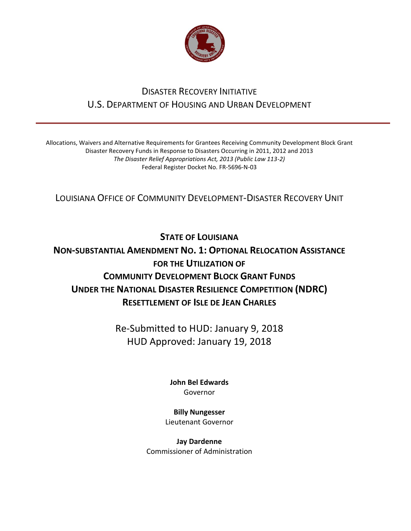

## DISASTER RECOVERY INITIATIVE U.S. DEPARTMENT OF HOUSING AND URBAN DEVELOPMENT

Allocations, Waivers and Alternative Requirements for Grantees Receiving Community Development Block Grant Disaster Recovery Funds in Response to Disasters Occurring in 2011, 2012 and 2013 *The Disaster Relief Appropriations Act, 2013 (Public Law 113-2)* Federal Register Docket No. FR-5696-N-03

LOUISIANA OFFICE OF COMMUNITY DEVELOPMENT-DISASTER RECOVERY UNIT

**STATE OF LOUISIANA** 

## **NON-SUBSTANTIAL AMENDMENT NO. 1: OPTIONAL RELOCATION ASSISTANCE FOR THE UTILIZATION OF COMMUNITY DEVELOPMENT BLOCK GRANT FUNDS UNDER THE NATIONAL DISASTER RESILIENCE COMPETITION (NDRC) RESETTLEMENT OF ISLE DE JEAN CHARLES**

Re-Submitted to HUD: January 9, 2018 HUD Approved: January 19, 2018

> **[John Bel Edwards](https://www.facebook.com/LouisianaGov/)** Governor

**Billy Nungesser** Lieutenant Governor

**Jay Dardenne** Commissioner of Administration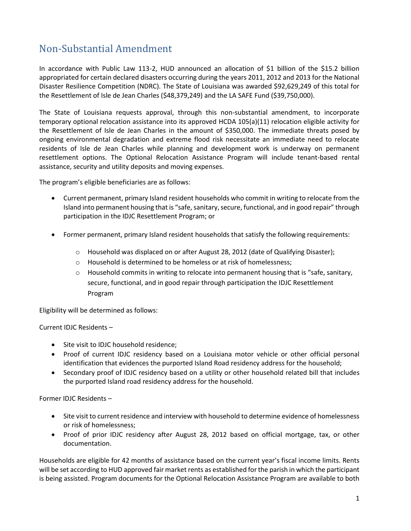## Non-Substantial Amendment

In accordance with Public Law 113-2, HUD announced an allocation of \$1 billion of the \$15.2 billion appropriated for certain declared disasters occurring during the years 2011, 2012 and 2013 for the National Disaster Resilience Competition (NDRC). The State of Louisiana was awarded \$92,629,249 of this total for the Resettlement of Isle de Jean Charles (\$48,379,249) and the LA SAFE Fund (\$39,750,000).

The State of Louisiana requests approval, through this non-substantial amendment, to incorporate temporary optional relocation assistance into its approved HCDA 105(a)(11) relocation eligible activity for the Resettlement of Isle de Jean Charles in the amount of \$350,000. The immediate threats posed by ongoing environmental degradation and extreme flood risk necessitate an immediate need to relocate residents of Isle de Jean Charles while planning and development work is underway on permanent resettlement options. The Optional Relocation Assistance Program will include tenant-based rental assistance, security and utility deposits and moving expenses.

The program's eligible beneficiaries are as follows:

- Current permanent, primary Island resident households who commit in writing to relocate from the Island into permanent housing that is "safe, sanitary, secure, functional, and in good repair" through participation in the IDJC Resettlement Program; or
- Former permanent, primary Island resident households that satisfy the following requirements:
	- o Household was displaced on or after August 28, 2012 (date of Qualifying Disaster);
	- o Household is determined to be homeless or at risk of homelessness;
	- Household commits in writing to relocate into permanent housing that is "safe, sanitary, secure, functional, and in good repair through participation the IDJC Resettlement Program

Eligibility will be determined as follows:

Current IDJC Residents –

- Site visit to IDJC household residence;
- Proof of current IDJC residency based on a Louisiana motor vehicle or other official personal identification that evidences the purported Island Road residency address for the household;
- Secondary proof of IDJC residency based on a utility or other household related bill that includes the purported Island road residency address for the household.

Former IDJC Residents –

- Site visit to current residence and interview with household to determine evidence of homelessness or risk of homelessness;
- Proof of prior IDJC residency after August 28, 2012 based on official mortgage, tax, or other documentation.

Households are eligible for 42 months of assistance based on the current year's fiscal income limits. Rents will be set according to HUD approved fair market rents as established for the parish in which the participant is being assisted. Program documents for the Optional Relocation Assistance Program are available to both